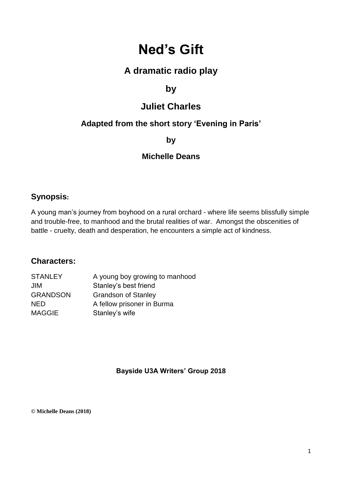# **Ned's Gift**

# **A dramatic radio play**

# **by**

# **Juliet Charles**

# **Adapted from the short story 'Evening in Paris'**

**by**

# **Michelle Deans**

# **Synopsis:**

A young man's journey from boyhood on a rural orchard - where life seems blissfully simple and trouble-free, to manhood and the brutal realities of war. Amongst the obscenities of battle - cruelty, death and desperation, he encounters a simple act of kindness.

# **Characters:**

| <b>STANLEY</b>  | A young boy growing to manhood |
|-----------------|--------------------------------|
|                 | Stanley's best friend          |
| <b>GRANDSON</b> | <b>Grandson of Stanley</b>     |
|                 | A fellow prisoner in Burma     |
| <b>MAGGIE</b>   | Stanley's wife                 |
|                 |                                |

# **Bayside U3A Writers' Group 2018**

**© Michelle Deans (2018)**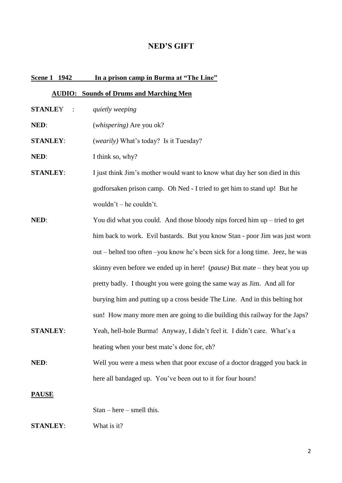#### **NED'S GIFT**

#### **Scene 1 1942 In a prison camp in Burma at "The Line"**

#### **AUDIO: Sounds of Drums and Marching Men**

- **STANLE**Y : *quietly weeping*
- **NED**: (*whispering)* Are you ok?

**STANLEY**: (*wearily)* What's today? Is it Tuesday?

**NED:** I think so, why?

- **STANLEY:** I just think Jim's mother would want to know what day her son died in this godforsaken prison camp. Oh Ned - I tried to get him to stand up! But he wouldn't – he couldn't.
- **NED:** You did what you could. And those bloody nips forced him up tried to get him back to work. Evil bastards. But you know Stan - poor Jim was just worn out – belted too often –you know he's been sick for a long time. Jeez, he was skinny even before we ended up in here! (*pause)* But mate – they beat you up pretty badly. I thought you were going the same way as Jim. And all for burying him and putting up a cross beside The Line. And in this belting hot sun! How many more men are going to die building this railway for the Japs?
- **STANLEY**: Yeah, hell-hole Burma! Anyway, I didn't feel it. I didn't care. What's a beating when your best mate's done for, eh?
- **NED:** Well you were a mess when that poor excuse of a doctor dragged you back in here all bandaged up. You've been out to it for four hours!

#### **PAUSE**

Stan – here – smell this.

#### **STANLEY**: What is it?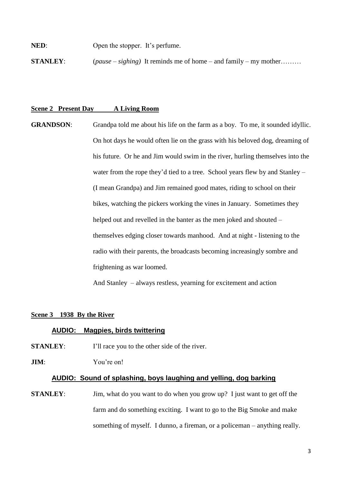**NED:** Open the stopper. It's perfume.

**STANLEY**: (*pause – sighing)* It reminds me of home – and family – my mother………

#### **Scene 2 Present Day A Living Room**

**GRANDSON:** Grandpa told me about his life on the farm as a boy. To me, it sounded idyllic. On hot days he would often lie on the grass with his beloved dog, dreaming of his future. Or he and Jim would swim in the river, hurling themselves into the water from the rope they'd tied to a tree. School years flew by and Stanley – (I mean Grandpa) and Jim remained good mates, riding to school on their bikes, watching the pickers working the vines in January. Sometimes they helped out and revelled in the banter as the men joked and shouted – themselves edging closer towards manhood. And at night - listening to the radio with their parents, the broadcasts becoming increasingly sombre and frightening as war loomed.

And Stanley – always restless, yearning for excitement and action

#### **Scene 3 1938 By the River**

#### **AUDIO: Magpies, birds twittering**

**STANLEY:** I'll race you to the other side of the river.

#### **JIM**: You're on!

#### **AUDIO: Sound of splashing, boys laughing and yelling, dog barking**

**STANLEY:** Jim, what do you want to do when you grow up? I just want to get off the farm and do something exciting. I want to go to the Big Smoke and make something of myself. I dunno, a fireman, or a policeman – anything really.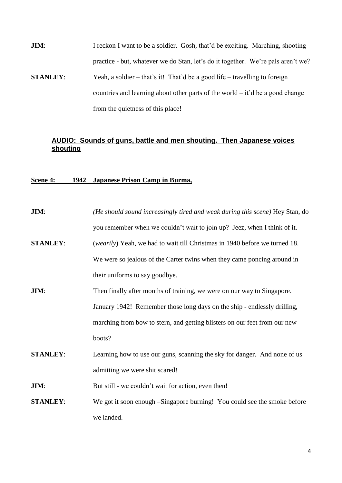**JIM:** I reckon I want to be a soldier. Gosh, that'd be exciting. Marching, shooting practice - but, whatever we do Stan, let's do it together. We're pals aren't we? **STANLEY:** Yeah, a soldier – that's it! That'd be a good life – travelling to foreign countries and learning about other parts of the world – it'd be a good change

from the quietness of this place!

### **AUDIO: Sounds of guns, battle and men shouting. Then Japanese voices shouting**

### **Scene 4: 1942 Japanese Prison Camp in Burma,**

| <b>JIM:</b>     | (He should sound increasingly tired and weak during this scene) Hey Stan, do        |
|-----------------|-------------------------------------------------------------------------------------|
|                 | you remember when we couldn't wait to join up? Jeez, when I think of it.            |
| <b>STANLEY:</b> | ( <i>wearily</i> ) Yeah, we had to wait till Christmas in 1940 before we turned 18. |
|                 | We were so jealous of the Carter twins when they came poncing around in             |
|                 | their uniforms to say goodbye.                                                      |
| JIM:            | Then finally after months of training, we were on our way to Singapore.             |
|                 | January 1942! Remember those long days on the ship - endlessly drilling,            |
|                 | marching from bow to stern, and getting blisters on our feet from our new           |
|                 | boots?                                                                              |
| <b>STANLEY:</b> | Learning how to use our guns, scanning the sky for danger. And none of us           |
|                 | admitting we were shit scared!                                                      |
| <b>JIM:</b>     | But still - we couldn't wait for action, even then!                                 |
| <b>STANLEY:</b> | We got it soon enough – Singapore burning! You could see the smoke before           |
|                 | we landed.                                                                          |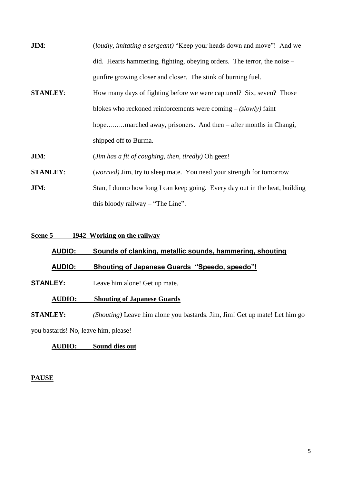| JIM:            | <i>(loudly, imitating a sergeant)</i> "Keep your heads down and move"! And we |
|-----------------|-------------------------------------------------------------------------------|
|                 | did. Hearts hammering, fighting, obeying orders. The terror, the noise –      |
|                 | gunfire growing closer and closer. The stink of burning fuel.                 |
| <b>STANLEY:</b> | How many days of fighting before we were captured? Six, seven? Those          |
|                 | blokes who reckoned reinforcements were coming $-(slowly)$ faint              |
|                 | hopemarched away, prisoners. And then – after months in Changi,               |
|                 | shipped off to Burma.                                                         |
| <b>JIM:</b>     | (Jim has a fit of coughing, then, tiredly) Oh geez!                           |
| <b>STANLEY:</b> | <i>(worried)</i> Jim, try to sleep mate. You need your strength for tomorrow  |
| JIM:            | Stan, I dunno how long I can keep going. Every day out in the heat, building  |
|                 | this bloody railway $-$ "The Line".                                           |

**Scene 5 1942 Working on the railway**

# **AUDIO: Sounds of clanking, metallic sounds, hammering, shouting AUDIO: Shouting of Japanese Guards "Speedo, speedo"!**

**STANLEY:** Leave him alone! Get up mate.

### **AUDIO: Shouting of Japanese Guards**

**STANLEY:** *(Shouting)* Leave him alone you bastards. Jim, Jim! Get up mate! Let him go you bastards! No, leave him, please!

# **AUDIO: Sound dies out**

### **PAUSE**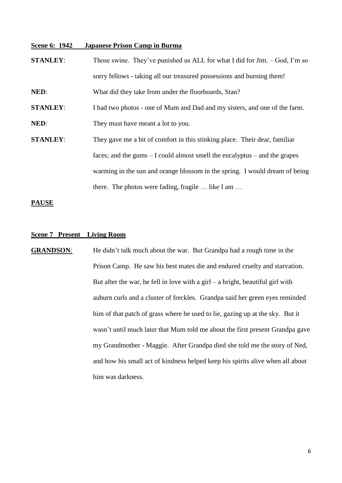#### **Scene 6: 1942 Japanese Prison Camp in Burma**

**STANLEY:** Those swine. They've punished us ALL for what I did for Jim. – God, I'm so sorry fellows - taking all our treasured possessions and burning them! **NED**: What did they take from under the floorboards, Stan? **STANLEY:** I had two photos - one of Mum and Dad and my sisters, and one of the farm. **NED:** They must have meant a lot to you. **STANLEY:** They gave me a bit of comfort in this stinking place. Their dear, familiar faces; and the gums – I could almost smell the eucalyptus – and the grapes warming in the sun and orange blossom in the spring. I would dream of being there. The photos were fading, fragile … like I am …

#### **PAUSE**

#### **Scene 7 Present Living Room**

**GRANDSON**: He didn't talk much about the war. But Grandpa had a rough time in the Prison Camp. He saw his best mates die and endured cruelty and starvation. But after the war, he fell in love with a girl – a bright, beautiful girl with auburn curls and a cluster of freckles. Grandpa said her green eyes reminded him of that patch of grass where he used to lie, gazing up at the sky. But it wasn't until much later that Mum told me about the first present Grandpa gave my Grandmother - Maggie. After Grandpa died she told me the story of Ned, and how his small act of kindness helped keep his spirits alive when all about him was darkness.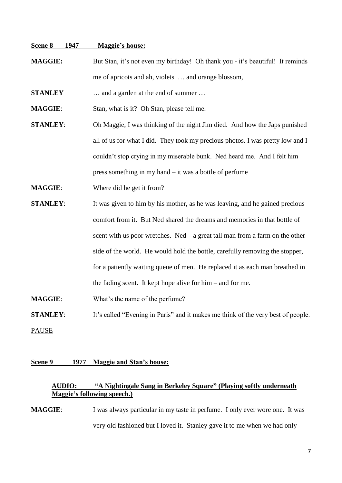#### **Scene 8 1947 Maggie's house:**

**MAGGIE:** But Stan, it's not even my birthday! Oh thank you - it's beautiful! It reminds me of apricots and ah, violets … and orange blossom,

**STANLEY** … and a garden at the end of summer …

**MAGGIE**: Stan, what is it? Oh Stan, please tell me.

**STANLEY**: Oh Maggie, I was thinking of the night Jim died. And how the Japs punished all of us for what I did. They took my precious photos. I was pretty low and I couldn't stop crying in my miserable bunk. Ned heard me. And I felt him press something in my hand – it was a bottle of perfume

**MAGGIE:** Where did he get it from?

**STANLEY:** It was given to him by his mother, as he was leaving, and he gained precious comfort from it. But Ned shared the dreams and memories in that bottle of scent with us poor wretches. Ned – a great tall man from a farm on the other side of the world. He would hold the bottle, carefully removing the stopper, for a patiently waiting queue of men. He replaced it as each man breathed in the fading scent. It kept hope alive for him – and for me.

**MAGGIE:** What's the name of the perfume?

**STANLEY:** It's called "Evening in Paris" and it makes me think of the very best of people. PAUSE

#### **Scene 9 1977 Maggie and Stan's house:**

#### **AUDIO: "A Nightingale Sang in Berkeley Square" (Playing softly underneath Maggie's following speech.)**

**MAGGIE:** I was always particular in my taste in perfume. I only ever wore one. It was very old fashioned but I loved it. Stanley gave it to me when we had only